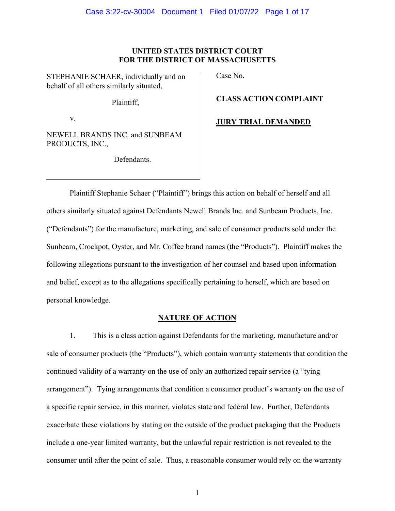# **UNITED STATES DISTRICT COURT FOR THE DISTRICT OF MASSACHUSETTS**

STEPHANIE SCHAER, individually and on behalf of all others similarly situated,

Plaintiff,

v.

NEWELL BRANDS INC. and SUNBEAM PRODUCTS, INC.,

Defendants.

Case No.

**CLASS ACTION COMPLAINT**

**JURY TRIAL DEMANDED**

Plaintiff Stephanie Schaer ("Plaintiff") brings this action on behalf of herself and all others similarly situated against Defendants Newell Brands Inc. and Sunbeam Products, Inc. ("Defendants") for the manufacture, marketing, and sale of consumer products sold under the Sunbeam, Crockpot, Oyster, and Mr. Coffee brand names (the "Products"). Plaintiff makes the following allegations pursuant to the investigation of her counsel and based upon information and belief, except as to the allegations specifically pertaining to herself, which are based on personal knowledge.

# **NATURE OF ACTION**

1. This is a class action against Defendants for the marketing, manufacture and/or sale of consumer products (the "Products"), which contain warranty statements that condition the continued validity of a warranty on the use of only an authorized repair service (a "tying arrangement"). Tying arrangements that condition a consumer product's warranty on the use of a specific repair service, in this manner, violates state and federal law. Further, Defendants exacerbate these violations by stating on the outside of the product packaging that the Products include a one-year limited warranty, but the unlawful repair restriction is not revealed to the consumer until after the point of sale. Thus, a reasonable consumer would rely on the warranty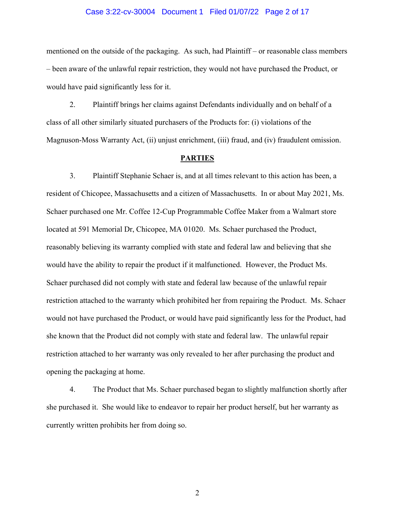#### Case 3:22-cv-30004 Document 1 Filed 01/07/22 Page 2 of 17

mentioned on the outside of the packaging. As such, had Plaintiff – or reasonable class members – been aware of the unlawful repair restriction, they would not have purchased the Product, or would have paid significantly less for it.

2. Plaintiff brings her claims against Defendants individually and on behalf of a class of all other similarly situated purchasers of the Products for: (i) violations of the Magnuson-Moss Warranty Act, (ii) unjust enrichment, (iii) fraud, and (iv) fraudulent omission.

#### **PARTIES**

3. Plaintiff Stephanie Schaer is, and at all times relevant to this action has been, a resident of Chicopee, Massachusetts and a citizen of Massachusetts. In or about May 2021, Ms. Schaer purchased one Mr. Coffee 12-Cup Programmable Coffee Maker from a Walmart store located at 591 Memorial Dr, Chicopee, MA 01020. Ms. Schaer purchased the Product, reasonably believing its warranty complied with state and federal law and believing that she would have the ability to repair the product if it malfunctioned. However, the Product Ms. Schaer purchased did not comply with state and federal law because of the unlawful repair restriction attached to the warranty which prohibited her from repairing the Product. Ms. Schaer would not have purchased the Product, or would have paid significantly less for the Product, had she known that the Product did not comply with state and federal law. The unlawful repair restriction attached to her warranty was only revealed to her after purchasing the product and opening the packaging at home.

4. The Product that Ms. Schaer purchased began to slightly malfunction shortly after she purchased it. She would like to endeavor to repair her product herself, but her warranty as currently written prohibits her from doing so.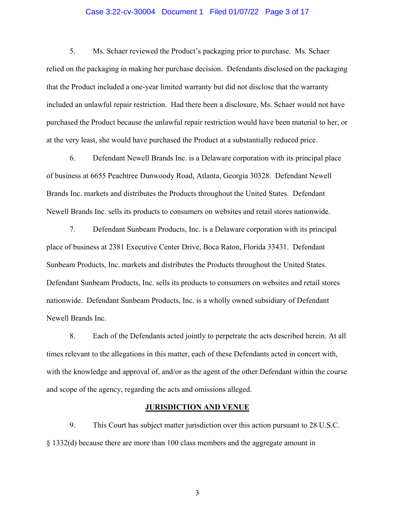#### Case 3:22-cv-30004 Document 1 Filed 01/07/22 Page 3 of 17

5. Ms. Schaer reviewed the Product's packaging prior to purchase. Ms. Schaer relied on the packaging in making her purchase decision. Defendants disclosed on the packaging that the Product included a one-year limited warranty but did not disclose that the warranty included an unlawful repair restriction. Had there been a disclosure, Ms. Schaer would not have purchased the Product because the unlawful repair restriction would have been material to her, or at the very least, she would have purchased the Product at a substantially reduced price.

6. Defendant Newell Brands Inc. is a Delaware corporation with its principal place of business at 6655 Peachtree Dunwoody Road, Atlanta, Georgia 30328. Defendant Newell Brands Inc. markets and distributes the Products throughout the United States. Defendant Newell Brands Inc. sells its products to consumers on websites and retail stores nationwide.

7. Defendant Sunbeam Products, Inc. is a Delaware corporation with its principal place of business at 2381 Executive Center Drive, Boca Raton, Florida 33431. Defendant Sunbeam Products, Inc. markets and distributes the Products throughout the United States. Defendant Sunbeam Products, Inc. sells its products to consumers on websites and retail stores nationwide. Defendant Sunbeam Products, Inc. is a wholly owned subsidiary of Defendant Newell Brands Inc.

8. Each of the Defendants acted jointly to perpetrate the acts described herein. At all times relevant to the allegations in this matter, each of these Defendants acted in concert with, with the knowledge and approval of, and/or as the agent of the other Defendant within the course and scope of the agency, regarding the acts and omissions alleged.

#### **JURISDICTION AND VENUE**

9. This Court has subject matter jurisdiction over this action pursuant to 28 U.S.C. § 1332(d) because there are more than 100 class members and the aggregate amount in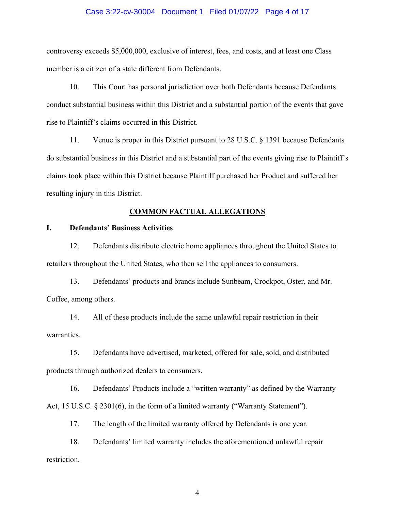#### Case 3:22-cv-30004 Document 1 Filed 01/07/22 Page 4 of 17

controversy exceeds \$5,000,000, exclusive of interest, fees, and costs, and at least one Class member is a citizen of a state different from Defendants.

10. This Court has personal jurisdiction over both Defendants because Defendants conduct substantial business within this District and a substantial portion of the events that gave rise to Plaintiff's claims occurred in this District.

11. Venue is proper in this District pursuant to 28 U.S.C. § 1391 because Defendants do substantial business in this District and a substantial part of the events giving rise to Plaintiff's claims took place within this District because Plaintiff purchased her Product and suffered her resulting injury in this District.

#### **COMMON FACTUAL ALLEGATIONS**

# **I. Defendants' Business Activities**

12. Defendants distribute electric home appliances throughout the United States to retailers throughout the United States, who then sell the appliances to consumers.

13. Defendants' products and brands include Sunbeam, Crockpot, Oster, and Mr. Coffee, among others.

14. All of these products include the same unlawful repair restriction in their warranties.

15. Defendants have advertised, marketed, offered for sale, sold, and distributed products through authorized dealers to consumers.

16. Defendants' Products include a "written warranty" as defined by the Warranty Act, 15 U.S.C. § 2301(6), in the form of a limited warranty ("Warranty Statement").

17. The length of the limited warranty offered by Defendants is one year.

18. Defendants' limited warranty includes the aforementioned unlawful repair restriction.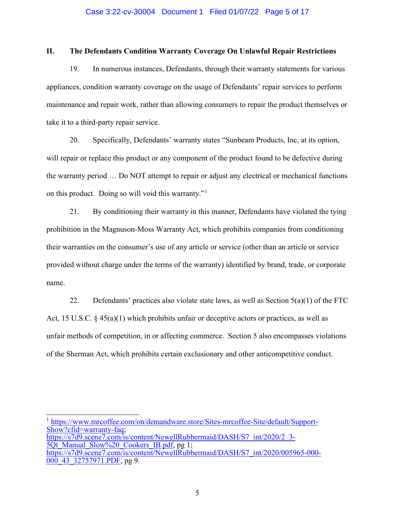#### Case 3:22-cv-30004 Document 1 Filed 01/07/22 Page 5 of 17

## **II. The Defendants Condition Warranty Coverage On Unlawful Repair Restrictions**

19. In numerous instances, Defendants, through their warranty statements for various appliances, condition warranty coverage on the usage of Defendants' repair services to perform maintenance and repair work, rather than allowing consumers to repair the product themselves or take it to a third-party repair service.

20. Specifically, Defendants' warranty states "Sunbeam Products, Inc, at its option, will repair or replace this product or any component of the product found to be defective during the warranty period … Do NOT attempt to repair or adjust any electrical or mechanical functions on this product. Doing so will void this warranty."[1](#page-4-0)

21. By conditioning their warranty in this manner, Defendants have violated the tying prohibition in the Magnuson-Moss Warranty Act, which prohibits companies from conditioning their warranties on the consumer's use of any article or service (other than an article or service provided without charge under the terms of the warranty) identified by brand, trade, or corporate name.

22. Defendants' practices also violate state laws, as well as Section  $5(a)(1)$  of the FTC Act, 15 U.S.C.  $\S$  45(a)(1) which prohibits unfair or deceptive actors or practices, as well as unfair methods of competition, in or affecting commerce. Section 5 also encompasses violations of the Sherman Act, which prohibits certain exclusionary and other anticompetitive conduct.

<span id="page-4-0"></span><sup>1</sup> [https://www.mrcoffee.com/on/demandware.store/Sites-mrcoffee-Site/default/Support-](https://www.mrcoffee.com/on/demandware.store/Sites-mrcoffee-Site/default/Support-Show?cfid=warranty-faq)[Show?cfid=warranty-faq;](https://www.mrcoffee.com/on/demandware.store/Sites-mrcoffee-Site/default/Support-Show?cfid=warranty-faq) [https://s7d9.scene7.com/is/content/NewellRubbermaid/DASH/S7\\_int/2020/2\\_3-](https://s7d9.scene7.com/is/content/NewellRubbermaid/DASH/S7_int/2020/2_3-5Qt_Manual_Slow%20_Cookers_IB.pdf) 5Qt Manual Slow%20 Cookers IB.pdf, pg 1; [https://s7d9.scene7.com/is/content/NewellRubbermaid/DASH/S7\\_int/2020/005965-000-](https://s7d9.scene7.com/is/content/NewellRubbermaid/DASH/S7_int/2020/005965-000-000_43_32757971.PDF)  $000$  43 32757971.PDF, pg 9.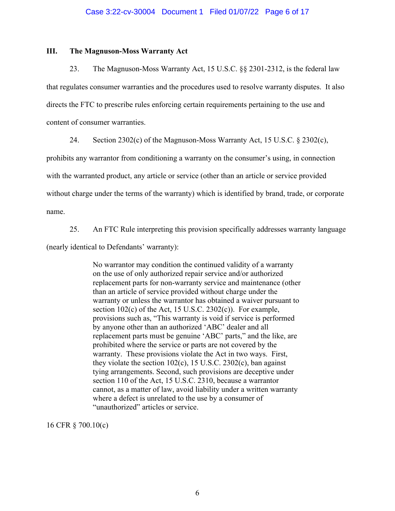### **III. The Magnuson-Moss Warranty Act**

23. The Magnuson-Moss Warranty Act, 15 U.S.C. §§ 2301-2312, is the federal law that regulates consumer warranties and the procedures used to resolve warranty disputes. It also directs the FTC to prescribe rules enforcing certain requirements pertaining to the use and content of consumer warranties.

24. Section 2302(c) of the Magnuson-Moss Warranty Act, 15 U.S.C. § 2302(c),

prohibits any warrantor from conditioning a warranty on the consumer's using, in connection

with the warranted product, any article or service (other than an article or service provided

without charge under the terms of the warranty) which is identified by brand, trade, or corporate

name.

25. An FTC Rule interpreting this provision specifically addresses warranty language

(nearly identical to Defendants' warranty):

No warrantor may condition the continued validity of a warranty on the use of only authorized repair service and/or authorized replacement parts for non-warranty service and maintenance (other than an article of service provided without charge under the warranty or unless the warrantor has obtained a waiver pursuant to section  $102(c)$  of the Act, 15 U.S.C. 2302 $(c)$ ). For example, provisions such as, "This warranty is void if service is performed by anyone other than an authorized 'ABC' dealer and all replacement parts must be genuine 'ABC' parts," and the like, are prohibited where the service or parts are not covered by the warranty. These provisions violate the Act in two ways. First, they violate the section  $102(c)$ , 15 U.S.C. 2302 $(c)$ , ban against tying arrangements. Second, such provisions are deceptive under section 110 of the Act, 15 U.S.C. 2310, because a warrantor cannot, as a matter of law, avoid liability under a written warranty where a defect is unrelated to the use by a consumer of "unauthorized" articles or service.

16 CFR § 700.10(c)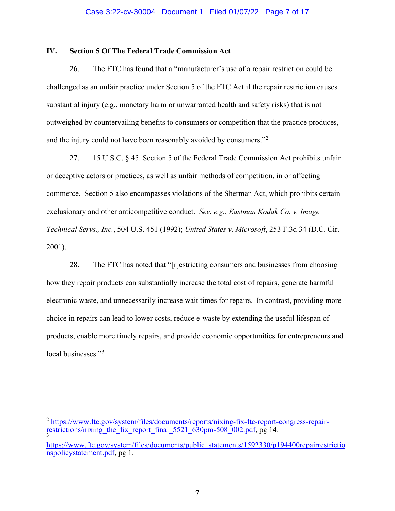#### Case 3:22-cv-30004 Document 1 Filed 01/07/22 Page 7 of 17

## **IV. Section 5 Of The Federal Trade Commission Act**

26. The FTC has found that a "manufacturer's use of a repair restriction could be challenged as an unfair practice under Section 5 of the FTC Act if the repair restriction causes substantial injury (e.g., monetary harm or unwarranted health and safety risks) that is not outweighed by countervailing benefits to consumers or competition that the practice produces, and the injury could not have been reasonably avoided by consumers."[2](#page-6-0)

27. 15 U.S.C. § 45. Section 5 of the Federal Trade Commission Act prohibits unfair or deceptive actors or practices, as well as unfair methods of competition, in or affecting commerce. Section 5 also encompasses violations of the Sherman Act, which prohibits certain exclusionary and other anticompetitive conduct. *See*, *e.g.*, *Eastman Kodak Co. v. Image Technical Servs., Inc.*, 504 U.S. 451 (1992); *United States v. Microsoft*, 253 F.3d 34 (D.C. Cir. 2001).

28. The FTC has noted that "[r]estricting consumers and businesses from choosing how they repair products can substantially increase the total cost of repairs, generate harmful electronic waste, and unnecessarily increase wait times for repairs. In contrast, providing more choice in repairs can lead to lower costs, reduce e-waste by extending the useful lifespan of products, enable more timely repairs, and provide economic opportunities for entrepreneurs and local businesses."<sup>[3](#page-6-1)</sup>

<span id="page-6-0"></span> $^2$  [https://www.ftc.gov/system/files/documents/reports/nixing-fix-ftc-report-congress-repair-](https://www.ftc.gov/system/files/documents/reports/nixing-fix-ftc-report-congress-repair-restrictions/nixing_the_fix_report_final_5521_630pm-508_002.pdf)<br>[restrictions/nixing\\_the\\_fix\\_report\\_final\\_5521\\_630pm-508\\_002.pdf,](https://www.ftc.gov/system/files/documents/reports/nixing-fix-ftc-report-congress-repair-restrictions/nixing_the_fix_report_final_5521_630pm-508_002.pdf) pg 14.

<span id="page-6-1"></span>[https://www.ftc.gov/system/files/documents/public\\_statements/1592330/p194400repairrestrictio](https://www.ftc.gov/system/files/documents/public_statements/1592330/p194400repairrestrictionspolicystatement.pdf) [nspolicystatement.pdf,](https://www.ftc.gov/system/files/documents/public_statements/1592330/p194400repairrestrictionspolicystatement.pdf) pg 1.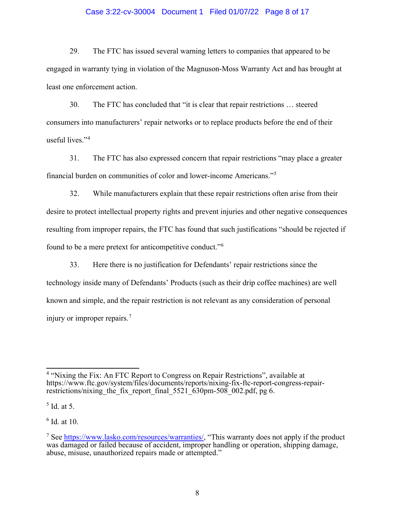### Case 3:22-cv-30004 Document 1 Filed 01/07/22 Page 8 of 17

29. The FTC has issued several warning letters to companies that appeared to be engaged in warranty tying in violation of the Magnuson-Moss Warranty Act and has brought at least one enforcement action.

30. The FTC has concluded that "it is clear that repair restrictions … steered consumers into manufacturers' repair networks or to replace products before the end of their useful lives."[4](#page-7-0)

31. The FTC has also expressed concern that repair restrictions "may place a greater financial burden on communities of color and lower-income Americans."[5](#page-7-1)

32. While manufacturers explain that these repair restrictions often arise from their desire to protect intellectual property rights and prevent injuries and other negative consequences resulting from improper repairs, the FTC has found that such justifications "should be rejected if found to be a mere pretext for anticompetitive conduct."[6](#page-7-2)

33. Here there is no justification for Defendants' repair restrictions since the technology inside many of Defendants' Products (such as their drip coffee machines) are well known and simple, and the repair restriction is not relevant as any consideration of personal injury or improper repairs. [7](#page-7-3)

<span id="page-7-2"></span> $6$  Id. at 10.

<span id="page-7-0"></span><sup>4</sup> "Nixing the Fix: An FTC Report to Congress on Repair Restrictions", available at https://www.ftc.gov/system/files/documents/reports/nixing-fix-ftc-report-congress-repair-<br>restrictions/nixing\_the\_fix\_report\_final\_5521\_630pm-508\_002.pdf, pg 6.

<span id="page-7-1"></span> $<sup>5</sup>$  Id. at 5.</sup>

<span id="page-7-3"></span><sup>&</sup>lt;sup>7</sup> See [https://www.lasko.com/resources/warranties/,](https://www.lasko.com/resources/warranties/) "This warranty does not apply if the product was damaged or failed because of accident, improper handling or operation, shipping damage, abuse, misuse, unauthorized repairs made or attempted."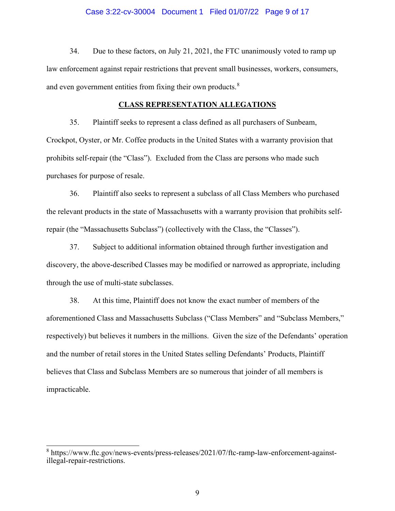#### Case 3:22-cv-30004 Document 1 Filed 01/07/22 Page 9 of 17

34. Due to these factors, on July 21, 2021, the FTC unanimously voted to ramp up law enforcement against repair restrictions that prevent small businesses, workers, consumers, and even government entities from fixing their own products.<sup>[8](#page-8-0)</sup>

#### **CLASS REPRESENTATION ALLEGATIONS**

35. Plaintiff seeks to represent a class defined as all purchasers of Sunbeam, Crockpot, Oyster, or Mr. Coffee products in the United States with a warranty provision that prohibits self-repair (the "Class"). Excluded from the Class are persons who made such purchases for purpose of resale.

36. Plaintiff also seeks to represent a subclass of all Class Members who purchased the relevant products in the state of Massachusetts with a warranty provision that prohibits selfrepair (the "Massachusetts Subclass") (collectively with the Class, the "Classes").

37. Subject to additional information obtained through further investigation and discovery, the above-described Classes may be modified or narrowed as appropriate, including through the use of multi-state subclasses.

38. At this time, Plaintiff does not know the exact number of members of the aforementioned Class and Massachusetts Subclass ("Class Members" and "Subclass Members," respectively) but believes it numbers in the millions. Given the size of the Defendants' operation and the number of retail stores in the United States selling Defendants' Products, Plaintiff believes that Class and Subclass Members are so numerous that joinder of all members is impracticable.

<span id="page-8-0"></span><sup>8</sup> https://www.ftc.gov/news-events/press-releases/2021/07/ftc-ramp-law-enforcement-againstillegal-repair-restrictions.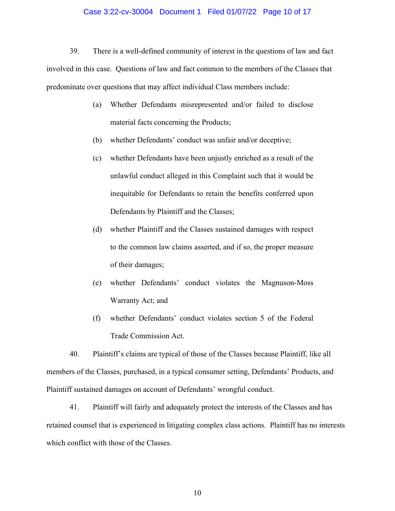#### Case 3:22-cv-30004 Document 1 Filed 01/07/22 Page 10 of 17

39. There is a well-defined community of interest in the questions of law and fact involved in this case. Questions of law and fact common to the members of the Classes that predominate over questions that may affect individual Class members include:

- (a) Whether Defendants misrepresented and/or failed to disclose material facts concerning the Products;
- (b) whether Defendants' conduct was unfair and/or deceptive;
- (c) whether Defendants have been unjustly enriched as a result of the unlawful conduct alleged in this Complaint such that it would be inequitable for Defendants to retain the benefits conferred upon Defendants by Plaintiff and the Classes;
- (d) whether Plaintiff and the Classes sustained damages with respect to the common law claims asserted, and if so, the proper measure of their damages;
- (e) whether Defendants' conduct violates the Magnuson-Moss Warranty Act; and
- (f) whether Defendants' conduct violates section 5 of the Federal Trade Commission Act.

40. Plaintiff's claims are typical of those of the Classes because Plaintiff, like all members of the Classes, purchased, in a typical consumer setting, Defendants' Products, and Plaintiff sustained damages on account of Defendants' wrongful conduct.

41. Plaintiff will fairly and adequately protect the interests of the Classes and has retained counsel that is experienced in litigating complex class actions. Plaintiff has no interests which conflict with those of the Classes.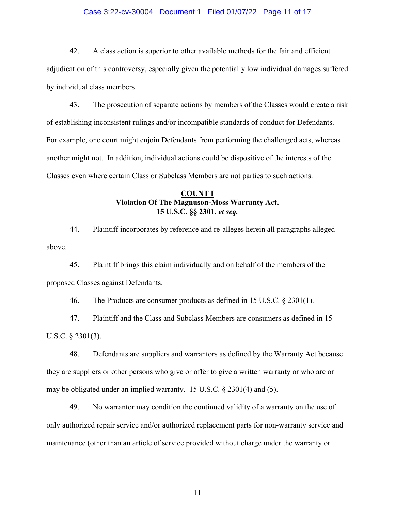### Case 3:22-cv-30004 Document 1 Filed 01/07/22 Page 11 of 17

42. A class action is superior to other available methods for the fair and efficient adjudication of this controversy, especially given the potentially low individual damages suffered by individual class members.

43. The prosecution of separate actions by members of the Classes would create a risk of establishing inconsistent rulings and/or incompatible standards of conduct for Defendants. For example, one court might enjoin Defendants from performing the challenged acts, whereas another might not. In addition, individual actions could be dispositive of the interests of the Classes even where certain Class or Subclass Members are not parties to such actions.

# **COUNT I Violation Of The Magnuson-Moss Warranty Act, 15 U.S.C. §§ 2301,** *et seq.*

44. Plaintiff incorporates by reference and re-alleges herein all paragraphs alleged above.

45. Plaintiff brings this claim individually and on behalf of the members of the proposed Classes against Defendants.

46. The Products are consumer products as defined in 15 U.S.C. § 2301(1).

47. Plaintiff and the Class and Subclass Members are consumers as defined in 15 U.S.C. § 2301(3).

48. Defendants are suppliers and warrantors as defined by the Warranty Act because they are suppliers or other persons who give or offer to give a written warranty or who are or may be obligated under an implied warranty. 15 U.S.C. § 2301(4) and (5).

49. No warrantor may condition the continued validity of a warranty on the use of only authorized repair service and/or authorized replacement parts for non-warranty service and maintenance (other than an article of service provided without charge under the warranty or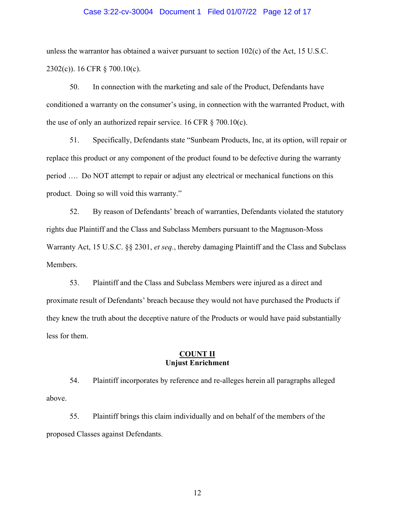#### Case 3:22-cv-30004 Document 1 Filed 01/07/22 Page 12 of 17

unless the warrantor has obtained a waiver pursuant to section 102(c) of the Act, 15 U.S.C. 2302(c)). 16 CFR § 700.10(c).

50. In connection with the marketing and sale of the Product, Defendants have conditioned a warranty on the consumer's using, in connection with the warranted Product, with the use of only an authorized repair service. 16 CFR  $\S$  700.10(c).

51. Specifically, Defendants state "Sunbeam Products, Inc, at its option, will repair or replace this product or any component of the product found to be defective during the warranty period …. Do NOT attempt to repair or adjust any electrical or mechanical functions on this product. Doing so will void this warranty."

52. By reason of Defendants' breach of warranties, Defendants violated the statutory rights due Plaintiff and the Class and Subclass Members pursuant to the Magnuson-Moss Warranty Act, 15 U.S.C. §§ 2301, *et seq.*, thereby damaging Plaintiff and the Class and Subclass Members.

53. Plaintiff and the Class and Subclass Members were injured as a direct and proximate result of Defendants' breach because they would not have purchased the Products if they knew the truth about the deceptive nature of the Products or would have paid substantially less for them.

## **COUNT II Unjust Enrichment**

54. Plaintiff incorporates by reference and re-alleges herein all paragraphs alleged above.

55. Plaintiff brings this claim individually and on behalf of the members of the proposed Classes against Defendants.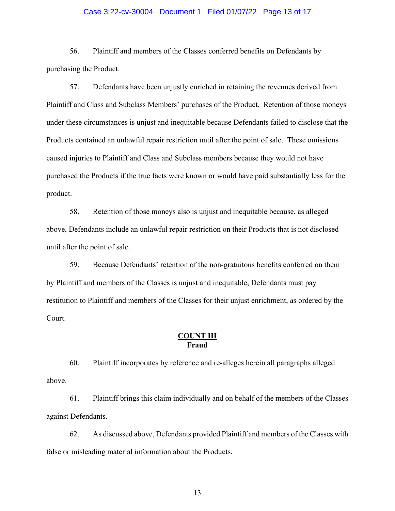### Case 3:22-cv-30004 Document 1 Filed 01/07/22 Page 13 of 17

56. Plaintiff and members of the Classes conferred benefits on Defendants by purchasing the Product.

57. Defendants have been unjustly enriched in retaining the revenues derived from Plaintiff and Class and Subclass Members' purchases of the Product. Retention of those moneys under these circumstances is unjust and inequitable because Defendants failed to disclose that the Products contained an unlawful repair restriction until after the point of sale. These omissions caused injuries to Plaintiff and Class and Subclass members because they would not have purchased the Products if the true facts were known or would have paid substantially less for the product.

58. Retention of those moneys also is unjust and inequitable because, as alleged above, Defendants include an unlawful repair restriction on their Products that is not disclosed until after the point of sale.

59. Because Defendants' retention of the non-gratuitous benefits conferred on them by Plaintiff and members of the Classes is unjust and inequitable, Defendants must pay restitution to Plaintiff and members of the Classes for their unjust enrichment, as ordered by the Court.

## **COUNT III Fraud**

60. Plaintiff incorporates by reference and re-alleges herein all paragraphs alleged above.

61. Plaintiff brings this claim individually and on behalf of the members of the Classes against Defendants.

62. As discussed above, Defendants provided Plaintiff and members of the Classes with false or misleading material information about the Products.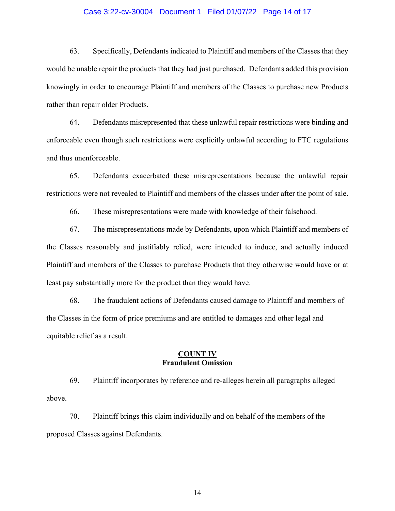### Case 3:22-cv-30004 Document 1 Filed 01/07/22 Page 14 of 17

63. Specifically, Defendants indicated to Plaintiff and members of the Classes that they would be unable repair the products that they had just purchased. Defendants added this provision knowingly in order to encourage Plaintiff and members of the Classes to purchase new Products rather than repair older Products.

64. Defendants misrepresented that these unlawful repair restrictions were binding and enforceable even though such restrictions were explicitly unlawful according to FTC regulations and thus unenforceable.

65. Defendants exacerbated these misrepresentations because the unlawful repair restrictions were not revealed to Plaintiff and members of the classes under after the point of sale.

66. These misrepresentations were made with knowledge of their falsehood.

67. The misrepresentations made by Defendants, upon which Plaintiff and members of the Classes reasonably and justifiably relied, were intended to induce, and actually induced Plaintiff and members of the Classes to purchase Products that they otherwise would have or at least pay substantially more for the product than they would have.

68. The fraudulent actions of Defendants caused damage to Plaintiff and members of the Classes in the form of price premiums and are entitled to damages and other legal and equitable relief as a result.

### **COUNT IV Fraudulent Omission**

69. Plaintiff incorporates by reference and re-alleges herein all paragraphs alleged above.

70. Plaintiff brings this claim individually and on behalf of the members of the proposed Classes against Defendants.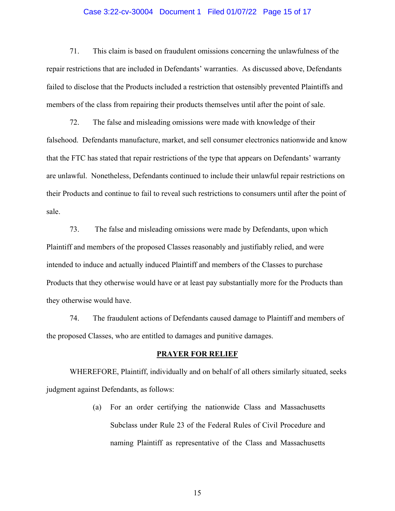### Case 3:22-cv-30004 Document 1 Filed 01/07/22 Page 15 of 17

71. This claim is based on fraudulent omissions concerning the unlawfulness of the repair restrictions that are included in Defendants' warranties. As discussed above, Defendants failed to disclose that the Products included a restriction that ostensibly prevented Plaintiffs and members of the class from repairing their products themselves until after the point of sale.

72. The false and misleading omissions were made with knowledge of their falsehood. Defendants manufacture, market, and sell consumer electronics nationwide and know that the FTC has stated that repair restrictions of the type that appears on Defendants' warranty are unlawful. Nonetheless, Defendants continued to include their unlawful repair restrictions on their Products and continue to fail to reveal such restrictions to consumers until after the point of sale.

73. The false and misleading omissions were made by Defendants, upon which Plaintiff and members of the proposed Classes reasonably and justifiably relied, and were intended to induce and actually induced Plaintiff and members of the Classes to purchase Products that they otherwise would have or at least pay substantially more for the Products than they otherwise would have.

74. The fraudulent actions of Defendants caused damage to Plaintiff and members of the proposed Classes, who are entitled to damages and punitive damages.

#### **PRAYER FOR RELIEF**

WHEREFORE, Plaintiff, individually and on behalf of all others similarly situated, seeks judgment against Defendants, as follows:

> (a) For an order certifying the nationwide Class and Massachusetts Subclass under Rule 23 of the Federal Rules of Civil Procedure and naming Plaintiff as representative of the Class and Massachusetts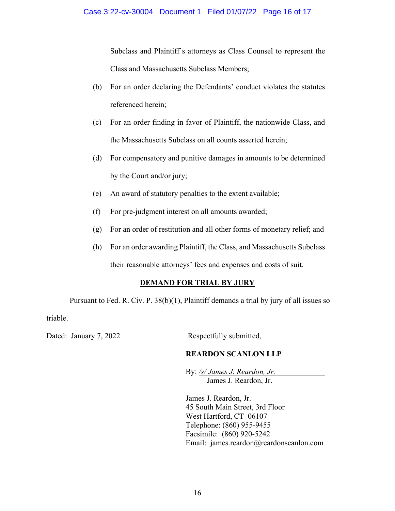Subclass and Plaintiff's attorneys as Class Counsel to represent the Class and Massachusetts Subclass Members;

- (b) For an order declaring the Defendants' conduct violates the statutes referenced herein;
- (c) For an order finding in favor of Plaintiff, the nationwide Class, and the Massachusetts Subclass on all counts asserted herein;
- (d) For compensatory and punitive damages in amounts to be determined by the Court and/or jury;
- (e) An award of statutory penalties to the extent available;
- (f) For pre-judgment interest on all amounts awarded;
- (g) For an order of restitution and all other forms of monetary relief; and
- (h) For an order awarding Plaintiff, the Class, and Massachusetts Subclass

their reasonable attorneys' fees and expenses and costs of suit.

# **DEMAND FOR TRIAL BY JURY**

Pursuant to Fed. R. Civ. P. 38(b)(1), Plaintiff demands a trial by jury of all issues so triable.

Dated: January 7, 2022 Respectfully submitted,

# **REARDON SCANLON LLP**

By: */s/ James J. Reardon, Jr.* James J. Reardon, Jr.

James J. Reardon, Jr. 45 South Main Street, 3rd Floor West Hartford, CT 06107 Telephone: (860) 955-9455 Facsimile: (860) 920-5242 Email: james.reardon@reardonscanlon.com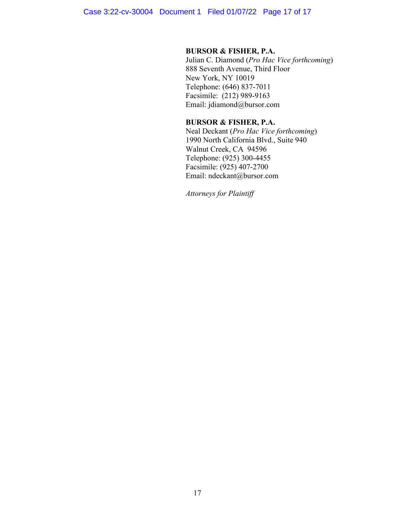## **BURSOR & FISHER, P.A.**

Julian C. Diamond (*Pro Hac Vice forthcoming*) 888 Seventh Avenue, Third Floor New York, NY 10019 Telephone: (646) 837-7011 Facsimile: (212) 989-9163 Email: jdiamond@bursor.com

# **BURSOR & FISHER, P.A.**

Neal Deckant (*Pro Hac Vice forthcoming*) 1990 North California Blvd., Suite 940 Walnut Creek, CA 94596 Telephone: (925) 300-4455 Facsimile: (925) 407-2700 Email: ndeckant@bursor.com

*Attorneys for Plaintiff*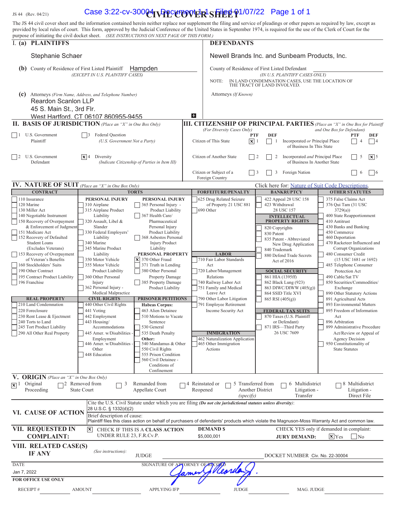**US 44** (Rev. 04/21) **Case 3:22-cv-30004 \APCUTO VER SHEE** 01/07/22 Page 1 of 1 The JS 44 civil cover sheet and the information contained herein neither replace nor supplement the filing and service of pleadings or other papers as required by law, except as provided by local rules of court. This form, approved by the Judicial Conference of the United States in September 1974, is required for the use of the Clerk of Court for the purpose of initiating the civil docket sheet. *(SEE INSTRUCTIONS ON NEXT PAGE OF THIS FORM.)* I. **(a) PLAINTIFFS DEFENDANTS** Stephanie Schaer Newell Brands Inc. and Sunbeam Products, Inc. (b) County of Residence of First Listed Plaintiff **Hampden** County of Residence of First Listed Defendant *(EXCEPT IN U.S. PLAINTIFF CASES) (IN U.S. PLAINTIFF CASES ONLY)* NOTE: IN LAND CONDEMNATION CASES, USE THE LOCATION OF THE TRACT OF LAND INVOLVED. **(c)** Attorneys *(Firm Name, Address, and Telephone Number)* Attorneys *(If Known)* Reardon Scanlon LLP 45 S. Main St., 3rd Flr. E. West Hartford, CT 06107 860955-9455 **III. CITIZENSHIP OF PRINCIPAL PARTIES** *(Place an "X" in One Box for Plaintiff (For Diversity Cases Only) and One Box for Defendant*) *and One Box for Defendant*) *(For Diversity Cases Only) and One Box for Defendant)*  1 U.S. Government **3** Federal Question **1 PTF DEF PTF DEF PTF DEF PTF DEF** Plaintiff *(U.S. Government Not a Party)* Citizen of This State  $\boxed{\mathbf{X}}$  1  $\boxed{\phantom{a}}$  1 Incorporated *or* Principal Place  $\boxed{\phantom{a}}$  4  $\boxed{\phantom{a}}$  4  $\mathbf{x}$  1 of Business In This State 2 U.S. Government 4 Diversity Citizen of Another State 2 2 Incorporated *and* Principal Place 5 5  $|\mathbf{x}|$  4 Diversity  $\overline{\mathbf{x}}$  5 *(Indicate Citizenship of Parties in Item III)* Citizen or Subject of a  $\Box$  3 Foreign Nation  $\Box$  6 6 6 Foreign Country **IV. NATURE OF SUIT** (Place an "X" in One Box Only) Click here for: Nature of Suit Code Descriptions **CONTRACT REPORTS TORTS REPORTS FORFEITURE/PENALTY BANKRUPTCY CONTRACT OTHER STATUTES** 110 Insurance **PERSONAL INJURY PERSONAL INJURY** 625 Drug Related Seizure 422 Appeal 28 USC 158 375 False Claims Act 120 Marine 1310 Airplane 310 Airplane 365 Personal Injury - of Property 21 USC 881 423 Withdrawal 376 Qui Tam (31 USC 376 Qui Tam (31 USC 376 Qui Tam (31 USC 376 Qui Tam (31 USC 315 Airplane Product Liability 1305 Product 130 Miller Act 1315 Airplane Product 1367 Health Care/ 13690 Other 28 USC 157 3729(a))<br>140 Negotiable Instrument Liability 1400 State Rea 140 Negotiable Instrument Liability 1367 Health Care/ **1200 State Reapportionment** 1400 State Reapportionment **INTELLECTUAL** 150 Recovery of Overpayment 320 Assault, Libel & Pharmaceutical **PROPERTY RIGHTS** 410 Antitrust 81 Antitrust 81 Antitrust Personal Injury PROPERTY RIGHTS 430 Banks and Banking & Enforcement of Judgment Slander Slander Personal Injury | 820 Copyrights | 430 Banks and Banking 151 Medicare Act 330 Federal Employers' Product Liability Product Liability 830 Patent 450 Commerce 151 Medicare Act 152 S30 Federal Employers' Product Liability<br>152 Recovery of Defaulted Liability Liability 368 Asbestos Personal 835 Patent - Abbreviated 460 Deportation<br>368 Asbestos Personal 152 Recovery of Defaulted 460 Student Loans 1340 Marine 1934 Marine 1934 Marine 1934 Marine 1934 Mustave 1947 Mexical Product 1947 New Drug Application 470 Racketeer Influenced and States 1940 Marine Product 1.1 Liability 1940 Marine 1940 Marine 1940 M (Excludes Veterans) 345 Marine Product Liability Liability 2018 1991 840 Trademark Corrupt Organizations 153 Recovery of Overpayment Liability **PERSONAL PROPERTY** LABOR<br>
of Veteran's Benefits 350 Motor Vehicle **X** 370 Other Fraud 1710 Fair Labor Standards Act of 2016 (15 USC 1681 or 1692) of Veteran's Benefits 350 Motor Vehicle 370 Other Fraud 710 Fair Labor Standards Act of 2016<br>160 Stockholders' Suits 355 Motor Vehicle 371 Truth in Lending Act X 370 Other Fraud 485 Telephone Consumer 190 Other Contract Product Liability 380 Other Personal 720 Labor/Management **SOCIAL SECURITY** Protection Act 195 Contract Product Liability 360 Other Personal Property Damage Relations Relations 861 HIA (1395ff) 490 Cable/Sat TV 196 Franchise Injury Injury 1858 Property Damage 740 Railway Labor Act 862 Black Lung (923) 850 Securities/Commodities/<br>362 Personal Injury Product Liability 751 Family and Medical 863 DIWC/DIWW (405(g) Exchange Personal Injury - Product Liability 751 Family and Medical 863 DIWC/DIWW (405(g)) Exchange<br>Medical Malpractice Leave Act 264 SSID Title XVI 890 Other State Leave Act  $\Box$  864 SSID Title XVI 890 Other Statutory Actions **REAL PROPERTY CIVIL RIGHTS PRISONER PETITIONS** 790 Other Labor Litigation 865 RSI (405(g)) 891 Agricultural Acts<br>210 Land Condemnation 440 Other Civil Rights Habeas Corpus: 791 Employee Retirement 893 Environmental M **2211 Land Corpus:** 791 Employee Retirement 893 Environmental Matters 893 Environmental Matters 220 Foreclosure 441 Voting 441 Voting 463 Alien Detainee Income Security Act **FEDERAL TAX SUITS** 895 Freedom of Information 230 Rent Lease & Ejectment 442 Employment 510 Motions to Vacate 870 Taxes (U.S. Plaintiff Act Act 370 Taxes (U.S. Plaintiff Act Act or Defendant) 870 Taxes (U.S. Plaintiff Act Act or Defendant) 896 Arbitration 240 Torts to Land 443 Housing/ Sentence or Defendant) 896 Arbitration 245 Tort Product Liability Accommodations 530 General 871 IRS—Third Party 899 Administrative Procedure 290 All Other Real Property 445 Amer. w/Disabilities - 535 Death Penalty **IMMIGRATION** 26 USC 7609 Act/Review or Appeal of 26 USC 7609 Employment **Other:**  $\overline{O}$  Other:  $\overline{O}$  Other:  $\overline{O}$  462 Naturalization Application Agency Decision Agency Decision Agency Decision Agency Decision Agency Decision Agency Decision 350 Constitutionality of 446 Amer. w/Disabilities Other 550 Civil Rights Actions Actions State Statutes<br>
1448 Education 555 Prison Condition 555 Prison Condition 560 Civil Detainee - Conditions of Confinement **V. ORIGIN** *(Place an "X" in One Box Only)* 2 Removed from 4 Reinstated or □ 5 Transferred from  $\Box$  6 Multidistrict 8 Multidistrict **Original** 3 Remanded from ✖ State Court Appellate Court Another District Litigation - Litigation - Proceeding Reopened **Transfer** Direct File *(specify)*

| <b>VI. CAUSE OF ACTION</b>             | $ 28 \text{ U.S.C. }$ § 1332(d)(2)                                                                                                                                            |                                 |                                                                                                         |  |  |
|----------------------------------------|-------------------------------------------------------------------------------------------------------------------------------------------------------------------------------|---------------------------------|---------------------------------------------------------------------------------------------------------|--|--|
|                                        | Brief description of cause:<br>Plaintiff files this class action on behalf of purchasers of defendants' products which violate the Magnuson-Moss Warranty Act and common law. |                                 |                                                                                                         |  |  |
| VII. REQUESTED IN<br><b>COMPLAINT:</b> | CHECK IF THIS IS A CLASS ACTION<br>lxl<br>UNDER RULE 23, F.R.Cv.P.                                                                                                            | <b>DEMAND \$</b><br>\$5,000,001 | CHECK YES only if demanded in complaint:<br>$\mathbf{x}$ Yes<br>$\overline{N_0}$<br><b>JURY DEMAND:</b> |  |  |
| VIII. RELATED CASE(S)<br><b>IF ANY</b> | (See instructions):<br><b>JUDGE</b>                                                                                                                                           |                                 | DOCKET NUMBER Civ. No. 22-30004                                                                         |  |  |
| <b>DATE</b>                            | SIGNATURE OF ATTORNEY OF RECORD                                                                                                                                               |                                 |                                                                                                         |  |  |
| Jan 7, 2022                            | fames & Vilorian                                                                                                                                                              |                                 |                                                                                                         |  |  |
| <b>FOR OFFICE USE ONLY</b>             |                                                                                                                                                                               |                                 |                                                                                                         |  |  |
| <b>RECEIPT#</b><br><b>AMOUNT</b>       | <b>APPLYING IFP</b>                                                                                                                                                           | <b>JUDGE</b>                    | MAG. JUDGE                                                                                              |  |  |
|                                        |                                                                                                                                                                               |                                 |                                                                                                         |  |  |

Cite the U.S. Civil Statute under which you are filing *(Do not cite jurisdictional statutes unless diversity)*: